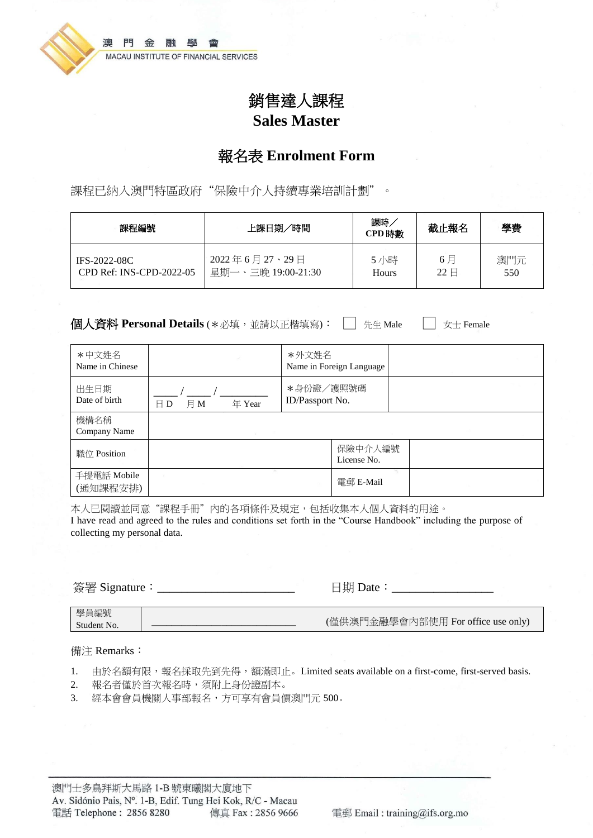

# 銷售達人課程 **Sales Master**

## 報名表 **Enrolment Form**

課程已納入澳門特區政府"保險中介人持續專業培訓計劃"。

| 課程編號                     | 課時<br>上課日期/時間<br>CPD 時數 |       | 截止報名                    | 學費  |
|--------------------------|-------------------------|-------|-------------------------|-----|
| IFS-2022-08C             | 2022年6月27、29日           | 5小時   | 6月                      | 澳門元 |
| CPD Ref: INS-CPD-2022-05 | 星期一、三晩 19:00-21:30      | Hours | $22 \text{ } \boxminus$ | 550 |

**個人資料 Personal Details** (\*必填,並請以正楷填寫): □ 先生 Male □ 女士 Female

| *中文姓名<br>Name in Chinese |                               | *外文姓名                        | Name in Foreign Language |  |  |
|--------------------------|-------------------------------|------------------------------|--------------------------|--|--|
| 出生日期<br>Date of birth    | 月M<br>年 Year<br>$\boxminus$ D | *身份證/護照號碼<br>ID/Passport No. |                          |  |  |
| 機構名稱<br>Company Name     | <b>Market Committee</b>       |                              |                          |  |  |
| 職位 Position              |                               |                              | 保險中介人編號<br>License No.   |  |  |
| 手提電話 Mobile<br>(通知課程安排)  |                               |                              | 雷郵 E-Mail                |  |  |

本人已閱讀並同意"課程手冊"內的各項條件及規定,包括收集本人個人資料的用途。 I have read and agreed to the rules and conditions set forth in the "Course Handbook" including the purpose of collecting my personal data.

簽署 Signature:\_\_\_\_\_\_\_\_\_\_\_\_\_\_\_\_\_\_\_\_\_\_\_ 日期 Date:\_\_\_\_\_\_\_\_\_\_\_\_\_\_\_\_\_

#### 備注 Remarks:

- 1. 由於名額有限,報名採取先到先得,額滿即止。Limited seats available on a first-come, first-served basis.
- 2. 報名者僅於首次報名時,須附上身份證副本。
- 3. 經本會會員機關人事部報名,方可享有會員價澳門元 500。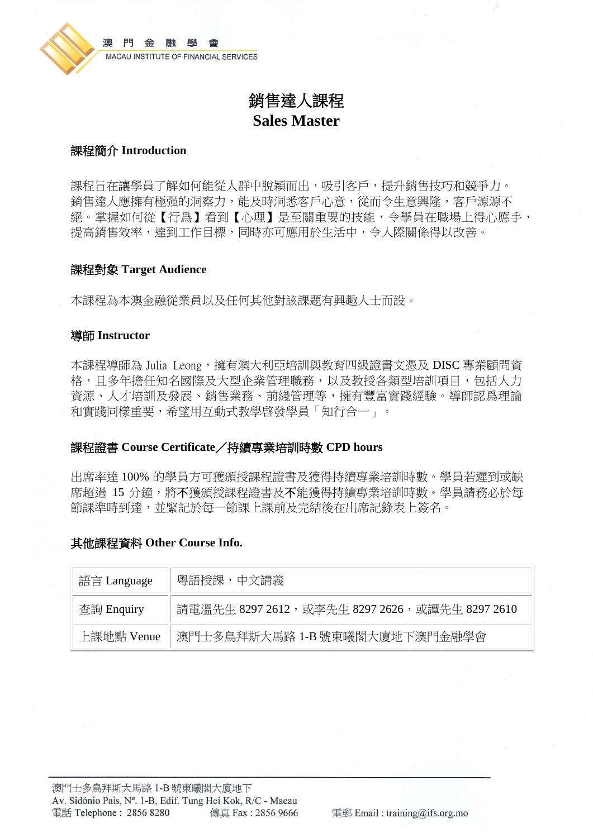

# 銷售達人課程 **Sales Master**

### 課程簡介 **Introduction**

課程旨在讓學員了解如何能從人群中脫穎而出,吸引客戶,提升銷售技巧和競爭力。 銷售達人應擁有極强的洞察力,能及時洞悉客戶心意,從而令生意興隆,客戶源源不 絕。掌握如何從【行爲】看到【心理】是至關重要的技能,令學員在職場上得心應手, 提高銷售效率,達到工作目標,同時亦可應用於生活中,令人際關係得以改善。

#### 課程對象 **Target Audience**

本課程為本澳金融從業員以及任何其他對該課題有興趣人士而設。

#### 導師 **Instructor**

本課程導師為 Julia Leong,權有澳大利亞培訓與教育四級證書文憑及 DISC 專業顧問資 格,且多年擔任知名國際及大型企業管理職務,以及教授各類型培訓項目,包括人力 資源、人才培訓及發展、銷售業務、前綫管理等,擁有豐富實踐經驗。導師認爲理論 和實踐同樣重要,希望用互動式教學啓發學員「知行合一」。

#### 課程證書 **Course Certificate**/持續專業培訓時數 **CPD hours**

出席率達 100% 的學員方可獲頒授課程證書及獲得持續專業培訓時數。學員若遲到或缺 席超過 15 分鐘,將不獲頒授課程證書及不能獲得持續專業培訓時數。學員請務必於每 節課準時到達,並緊記於每一節課上課前及完結後在出席記錄表上簽名。

#### 其他課程資料 **Other Course Info.**

| 語言 Language                                 | 粵語授課,中文講義                                     |
|---------------------------------------------|-----------------------------------------------|
| 查詢 Enquiry                                  | 請電溫先生 8297 2612,或李先生 8297 2626,或譚先生 8297 2610 |
| 澳門士多鳥拜斯大馬路 1-B 號東曦閣大廈地下澳門金融學會<br>上課地點 Venue |                                               |